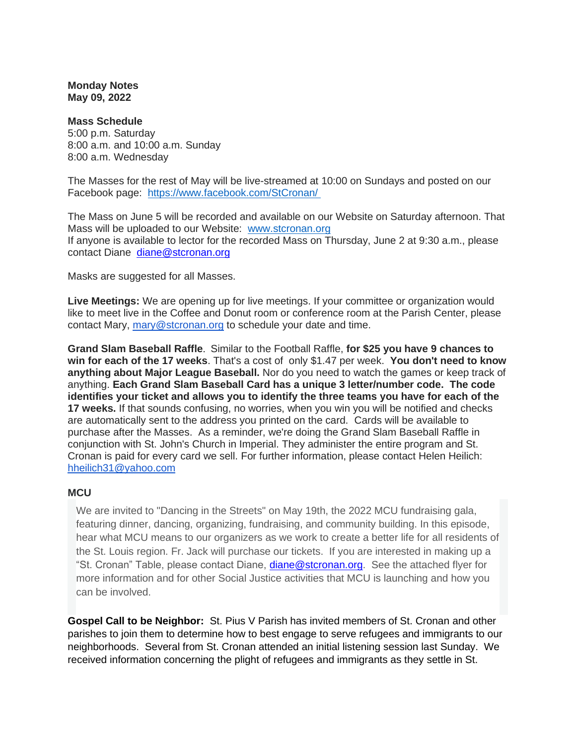**Monday Notes May 09, 2022**

**Mass Schedule** 5:00 p.m. Saturday 8:00 a.m. and 10:00 a.m. Sunday 8:00 a.m. Wednesday

The Masses for the rest of May will be live-streamed at 10:00 on Sundays and posted on our Facebook page: <https://www.facebook.com/StCronan/>

The Mass on June 5 will be recorded and available on our Website on Saturday afternoon. That Mass will be uploaded to our Website: [www.stcronan.org](http://www.stcronan.org/) If anyone is available to lector for the recorded Mass on Thursday, June 2 at 9:30 a.m., please contact Diane [diane@stcronan.org](mailto:diane@stcronan.org)

Masks are suggested for all Masses.

**Live Meetings:** We are opening up for live meetings. If your committee or organization would like to meet live in the Coffee and Donut room or conference room at the Parish Center, please contact Mary, [mary@stcronan.org](mailto:mary@stcronan.org) to schedule your date and time.

**Grand Slam Baseball Raffle**. Similar to the Football Raffle, **for \$25 you have 9 chances to win for each of the 17 weeks**. That's a cost of only \$1.47 per week. **You don't need to know anything about Major League Baseball.** Nor do you need to watch the games or keep track of anything. **Each Grand Slam Baseball Card has a unique 3 letter/number code. The code identifies your ticket and allows you to identify the three teams you have for each of the 17 weeks.** If that sounds confusing, no worries, when you win you will be notified and checks are automatically sent to the address you printed on the card. Cards will be available to purchase after the Masses. As a reminder, we're doing the Grand Slam Baseball Raffle in conjunction with St. John's Church in Imperial. They administer the entire program and St. Cronan is paid for every card we sell. For further information, please contact Helen Heilich: [hheilich31@yahoo.com](mailto:hheilich31@yahoo.com)

## **MCU**

We are invited to "Dancing in the Streets" on May 19th, the 2022 MCU fundraising gala, featuring dinner, dancing, organizing, fundraising, and community building. In this episode, hear what MCU means to our organizers as we work to create a better life for all residents of the St. Louis region. Fr. Jack will purchase our tickets. If you are interested in making up a "St. Cronan" Table, please contact Diane, [diane@stcronan.org.](mailto:diane@stcronan.org) See the attached flyer for more information and for other Social Justice activities that MCU is launching and how you can be involved.

**Gospel Call to be Neighbor:** St. Pius V Parish has invited members of St. Cronan and other parishes to join them to determine how to best engage to serve refugees and immigrants to our neighborhoods. Several from St. Cronan attended an initial listening session last Sunday. We received information concerning the plight of refugees and immigrants as they settle in St.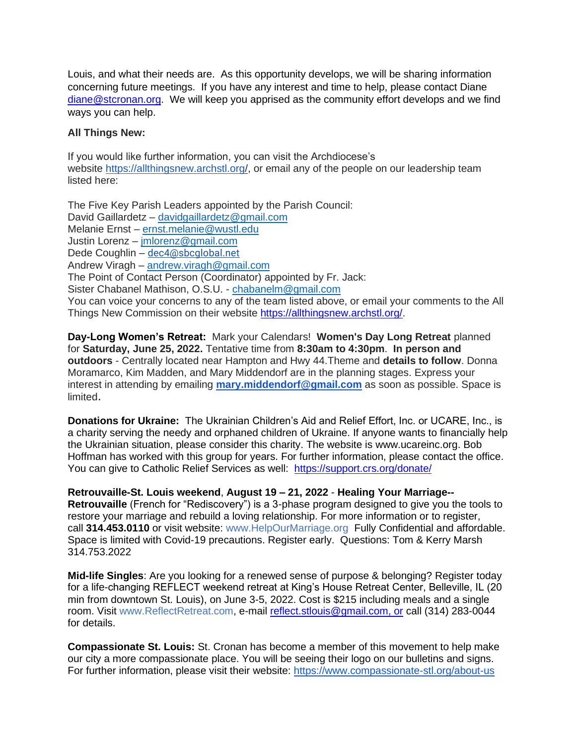Louis, and what their needs are. As this opportunity develops, we will be sharing information concerning future meetings. If you have any interest and time to help, please contact Diane [diane@stcronan.org.](mailto:diane@stcronan.org) We will keep you apprised as the community effort develops and we find ways you can help.

## **All Things New:**

If you would like further information, you can visit the Archdiocese's website <https://allthingsnew.archstl.org/>, or email any of the people on our leadership team listed here:

The Five Key Parish Leaders appointed by the Parish Council: David Gaillardetz – [davidgaillardetz@gmail.com](mailto:davidgaillardetz@gmail.com) Melanie Ernst – [ernst.melanie@wustl.edu](mailto:ernst.melanie@wustl.edu) Justin Lorenz – [jmlorenz@gmail.com](mailto:jmlorenz@gmail.com) Dede Coughlin – [dec4@sbcglobal.net](mailto:dec4@sbcglobal.net) Andrew Viragh – [andrew.viragh@gmail.com](mailto:andrew.viragh@gmail.com) The Point of Contact Person (Coordinator) appointed by Fr. Jack: Sister Chabanel Mathison, O.S.U. - [chabanelm@gmail.com](mailto:chabanelm@gmail.com) You can voice your concerns to any of the team listed above, or email your comments to the All Things New Commission on their website [https://allthingsnew.archstl.org/.](https://allthingsnew.archstl.org/)

**Day-Long Women's Retreat:** Mark your Calendars! **Women's Day Long Retreat** planned for **Saturday, June 25, 2022.** Tentative time from **8:30am to 4:30pm**. **In person and outdoors** - Centrally located near Hampton and Hwy 44.Theme and **details to follow**. Donna Moramarco, Kim Madden, and Mary Middendorf are in the planning stages. Express your interest in attending by emailing **[mary.middendorf@gmail.com](mailto:mary.middendorf@gmail.com)** as soon as possible. Space is limited.

**Donations for Ukraine:** The Ukrainian Children's Aid and Relief Effort, Inc. or UCARE, Inc., is a charity serving the needy and orphaned children of Ukraine. If anyone wants to financially help the Ukrainian situation, please consider this charity. The website is [www.ucareinc.org.](http://www.ucareinc.org/) Bob Hoffman has worked with this group for years. For further information, please contact the office. You can give to Catholic Relief Services as well: <https://support.crs.org/donate/>

**Retrouvaille-St. Louis weekend**, **August 19 – 21, 2022** - **Healing Your Marriage--**

**Retrouvaille** (French for "Rediscovery") is a 3-phase program designed to give you the tools to restore your marriage and rebuild a loving relationship. For more information or to register, call **314.453.0110** or visit website: [www.HelpOurMarriage.org](http://www.helpourmarriage.org/) Fully Confidential and affordable. Space is limited with Covid-19 precautions. Register early. Questions: Tom & Kerry Marsh 314.753.2022

**Mid-life Singles**: Are you looking for a renewed sense of purpose & belonging? Register today for a life-changing REFLECT weekend retreat at King's House Retreat Center, Belleville, IL (20 min from downtown St. Louis), on June 3-5, 2022. Cost is \$215 including meals and a single room. Visit [www.ReflectRetreat.com,](http://www.reflectretreat.com/) e-mail [reflect.stlouis@gmail.com, or](mailto:reflect.stlouis@gmail.com) call (314) 283-0044 for details.

**Compassionate St. Louis:** St. Cronan has become a member of this movement to help make our city a more compassionate place. You will be seeing their logo on our bulletins and signs. For further information, please visit their website: <https://www.compassionate-stl.org/about-us>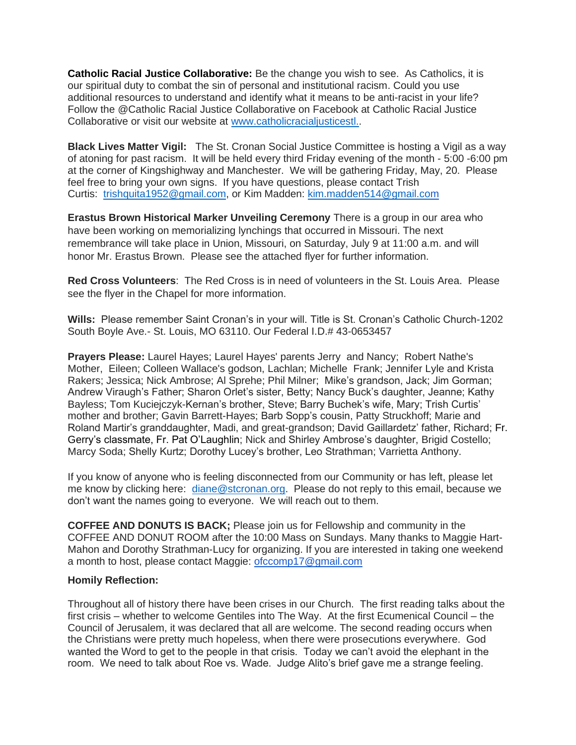**Catholic Racial Justice Collaborative:** Be the change you wish to see. As Catholics, it is our spiritual duty to combat the sin of personal and institutional racism. Could you use additional resources to understand and identify what it means to be anti-racist in your life? Follow the @Catholic Racial Justice Collaborative on Facebook at Catholic Racial Justice Collaborative or visit our website at [www.catholicracialjusticestl..](http://www.catholicracialjusticestl.org/)

**Black Lives Matter Vigil:** The St. Cronan Social Justice Committee is hosting a Vigil as a way of atoning for past racism. It will be held every third Friday evening of the month - 5:00 -6:00 pm at the corner of Kingshighway and Manchester. We will be gathering Friday, May, 20. Please feel free to bring your own signs. If you have questions, please contact Trish Curtis: [trishquita1952@gmail.com,](mailto:trishquita1952@gmail.com) or Kim Madden: [kim.madden514@gmail.com](mailto:kim.madden514@gmail.com)

**Erastus Brown Historical Marker Unveiling Ceremony** There is a group in our area who have been working on memorializing lynchings that occurred in Missouri. The next remembrance will take place in Union, Missouri, on Saturday, July 9 at 11:00 a.m. and will honor Mr. Erastus Brown. Please see the attached flyer for further information.

**Red Cross Volunteers**: The Red Cross is in need of volunteers in the St. Louis Area. Please see the flyer in the Chapel for more information.

**Wills:** Please remember Saint Cronan's in your will. Title is St. Cronan's Catholic Church-1202 South Boyle Ave.- St. Louis, MO 63110. Our Federal I.D.# 43-0653457

**Prayers Please:** Laurel Hayes; Laurel Hayes' parents Jerry and Nancy; Robert Nathe's Mother, Eileen; Colleen Wallace's godson, Lachlan; Michelle Frank; Jennifer Lyle and Krista Rakers; Jessica; Nick Ambrose; Al Sprehe; Phil Milner; Mike's grandson, Jack; Jim Gorman; Andrew Viraugh's Father; Sharon Orlet's sister, Betty; Nancy Buck's daughter, Jeanne; Kathy Bayless; Tom Kuciejczyk-Kernan's brother, Steve; Barry Buchek's wife, Mary; Trish Curtis' mother and brother; Gavin Barrett-Hayes; Barb Sopp's cousin, Patty Struckhoff; Marie and Roland Martir's granddaughter, Madi, and great-grandson; David Gaillardetz' father, Richard; Fr. Gerry's classmate, Fr. Pat O'Laughlin; Nick and Shirley Ambrose's daughter, Brigid Costello; Marcy Soda; Shelly Kurtz; Dorothy Lucey's brother, Leo Strathman; Varrietta Anthony.

If you know of anyone who is feeling disconnected from our Community or has left, please let me know by clicking here: [diane@stcronan.org.](mailto:diane@stcronan.org) Please do not reply to this email, because we don't want the names going to everyone. We will reach out to them.

**COFFEE AND DONUTS IS BACK;** Please join us for Fellowship and community in the COFFEE AND DONUT ROOM after the 10:00 Mass on Sundays. Many thanks to Maggie Hart-Mahon and Dorothy Strathman-Lucy for organizing. If you are interested in taking one weekend a month to host, please contact Maggie: [ofccomp17@gmail.com](mailto:ofccomp17@gmail.com) 

## **Homily Reflection:**

Throughout all of history there have been crises in our Church. The first reading talks about the first crisis – whether to welcome Gentiles into The Way. At the first Ecumenical Council – the Council of Jerusalem, it was declared that all are welcome. The second reading occurs when the Christians were pretty much hopeless, when there were prosecutions everywhere. God wanted the Word to get to the people in that crisis. Today we can't avoid the elephant in the room. We need to talk about Roe vs. Wade. Judge Alito's brief gave me a strange feeling.